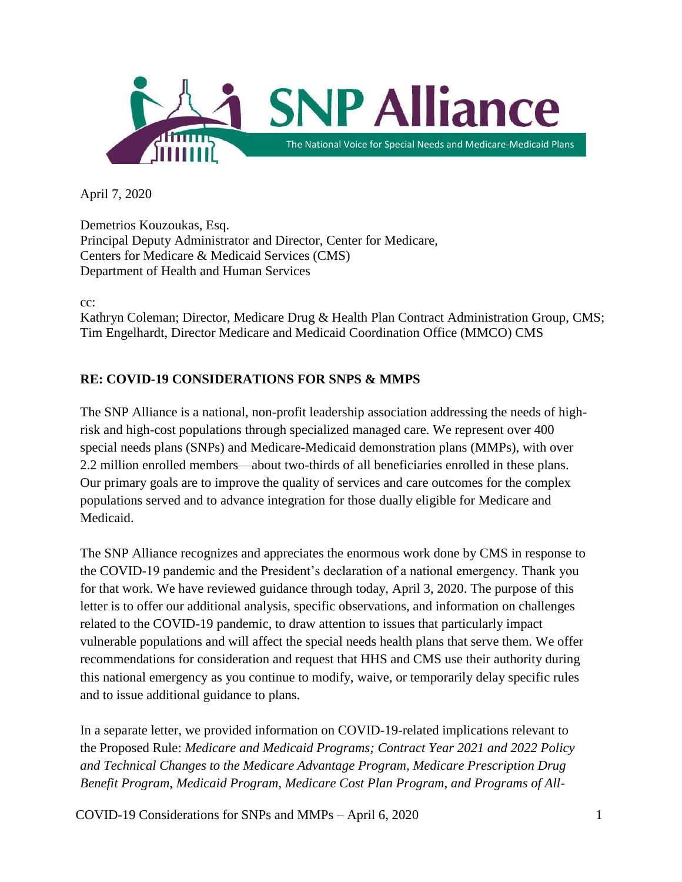

April 7, 2020

Demetrios Kouzoukas, Esq. Principal Deputy Administrator and Director, Center for Medicare, Centers for Medicare & Medicaid Services (CMS) Department of Health and Human Services

cc:

Kathryn Coleman; Director, Medicare Drug & Health Plan Contract Administration Group, CMS; Tim Engelhardt, Director Medicare and Medicaid Coordination Office (MMCO) CMS

# **RE: COVID-19 CONSIDERATIONS FOR SNPS & MMPS**

The SNP Alliance is a national, non-profit leadership association addressing the needs of highrisk and high-cost populations through specialized managed care. We represent over 400 special needs plans (SNPs) and Medicare-Medicaid demonstration plans (MMPs), with over 2.2 million enrolled members—about two-thirds of all beneficiaries enrolled in these plans. Our primary goals are to improve the quality of services and care outcomes for the complex populations served and to advance integration for those dually eligible for Medicare and Medicaid.

The SNP Alliance recognizes and appreciates the enormous work done by CMS in response to the COVID-19 pandemic and the President's declaration of a national emergency. Thank you for that work. We have reviewed guidance through today, April 3, 2020. The purpose of this letter is to offer our additional analysis, specific observations, and information on challenges related to the COVID-19 pandemic, to draw attention to issues that particularly impact vulnerable populations and will affect the special needs health plans that serve them. We offer recommendations for consideration and request that HHS and CMS use their authority during this national emergency as you continue to modify, waive, or temporarily delay specific rules and to issue additional guidance to plans.

In a separate letter, we provided information on COVID-19-related implications relevant to the Proposed Rule: *Medicare and Medicaid Programs; Contract Year 2021 and 2022 Policy and Technical Changes to the Medicare Advantage Program, Medicare Prescription Drug Benefit Program, Medicaid Program, Medicare Cost Plan Program, and Programs of All-*

COVID-19 Considerations for SNPs and MMPs – April 6, 2020  $1$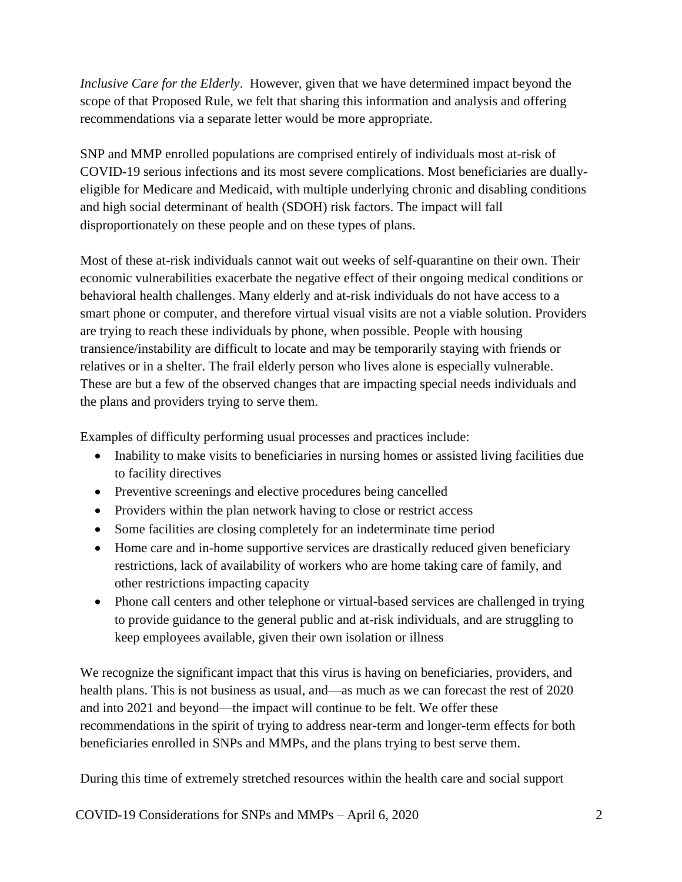*Inclusive Care for the Elderly*. However, given that we have determined impact beyond the scope of that Proposed Rule, we felt that sharing this information and analysis and offering recommendations via a separate letter would be more appropriate.

SNP and MMP enrolled populations are comprised entirely of individuals most at-risk of COVID-19 serious infections and its most severe complications. Most beneficiaries are duallyeligible for Medicare and Medicaid, with multiple underlying chronic and disabling conditions and high social determinant of health (SDOH) risk factors. The impact will fall disproportionately on these people and on these types of plans.

Most of these at-risk individuals cannot wait out weeks of self-quarantine on their own. Their economic vulnerabilities exacerbate the negative effect of their ongoing medical conditions or behavioral health challenges. Many elderly and at-risk individuals do not have access to a smart phone or computer, and therefore virtual visual visits are not a viable solution. Providers are trying to reach these individuals by phone, when possible. People with housing transience/instability are difficult to locate and may be temporarily staying with friends or relatives or in a shelter. The frail elderly person who lives alone is especially vulnerable. These are but a few of the observed changes that are impacting special needs individuals and the plans and providers trying to serve them.

Examples of difficulty performing usual processes and practices include:

- Inability to make visits to beneficiaries in nursing homes or assisted living facilities due to facility directives
- Preventive screenings and elective procedures being cancelled
- Providers within the plan network having to close or restrict access
- Some facilities are closing completely for an indeterminate time period
- Home care and in-home supportive services are drastically reduced given beneficiary restrictions, lack of availability of workers who are home taking care of family, and other restrictions impacting capacity
- Phone call centers and other telephone or virtual-based services are challenged in trying to provide guidance to the general public and at-risk individuals, and are struggling to keep employees available, given their own isolation or illness

We recognize the significant impact that this virus is having on beneficiaries, providers, and health plans. This is not business as usual, and—as much as we can forecast the rest of 2020 and into 2021 and beyond—the impact will continue to be felt. We offer these recommendations in the spirit of trying to address near-term and longer-term effects for both beneficiaries enrolled in SNPs and MMPs, and the plans trying to best serve them.

During this time of extremely stretched resources within the health care and social support

COVID-19 Considerations for SNPs and MMPs – April 6, 2020 2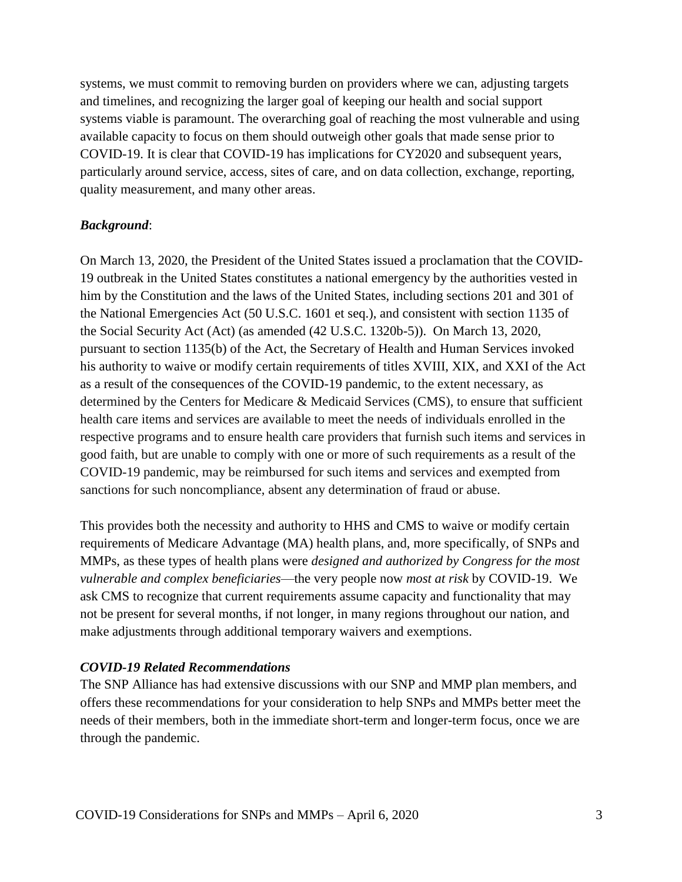systems, we must commit to removing burden on providers where we can, adjusting targets and timelines, and recognizing the larger goal of keeping our health and social support systems viable is paramount. The overarching goal of reaching the most vulnerable and using available capacity to focus on them should outweigh other goals that made sense prior to COVID-19. It is clear that COVID-19 has implications for CY2020 and subsequent years, particularly around service, access, sites of care, and on data collection, exchange, reporting, quality measurement, and many other areas.

### *Background*:

On March 13, 2020, the President of the United States issued a proclamation that the COVID-19 outbreak in the United States constitutes a national emergency by the authorities vested in him by the Constitution and the laws of the United States, including sections 201 and 301 of the National Emergencies Act (50 U.S.C. 1601 et seq.), and consistent with section 1135 of the Social Security Act (Act) (as amended (42 U.S.C. 1320b-5)). On March 13, 2020, pursuant to section 1135(b) of the Act, the Secretary of Health and Human Services invoked his authority to waive or modify certain requirements of titles XVIII, XIX, and XXI of the Act as a result of the consequences of the COVID-19 pandemic, to the extent necessary, as determined by the Centers for Medicare & Medicaid Services (CMS), to ensure that sufficient health care items and services are available to meet the needs of individuals enrolled in the respective programs and to ensure health care providers that furnish such items and services in good faith, but are unable to comply with one or more of such requirements as a result of the COVID-19 pandemic, may be reimbursed for such items and services and exempted from sanctions for such noncompliance, absent any determination of fraud or abuse.

This provides both the necessity and authority to HHS and CMS to waive or modify certain requirements of Medicare Advantage (MA) health plans, and, more specifically, of SNPs and MMPs, as these types of health plans were *designed and authorized by Congress for the most vulnerable and complex beneficiaries*—the very people now *most at risk* by COVID-19. We ask CMS to recognize that current requirements assume capacity and functionality that may not be present for several months, if not longer, in many regions throughout our nation, and make adjustments through additional temporary waivers and exemptions.

#### *COVID-19 Related Recommendations*

The SNP Alliance has had extensive discussions with our SNP and MMP plan members, and offers these recommendations for your consideration to help SNPs and MMPs better meet the needs of their members, both in the immediate short-term and longer-term focus, once we are through the pandemic.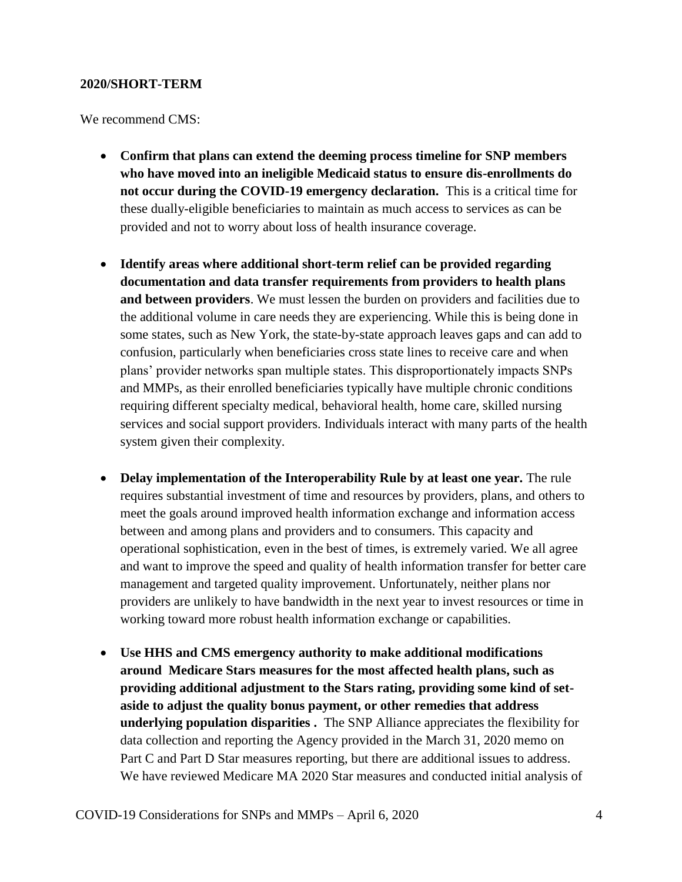#### **2020/SHORT-TERM**

We recommend CMS:

- **Confirm that plans can extend the deeming process timeline for SNP members who have moved into an ineligible Medicaid status to ensure dis-enrollments do not occur during the COVID-19 emergency declaration.** This is a critical time for these dually-eligible beneficiaries to maintain as much access to services as can be provided and not to worry about loss of health insurance coverage.
- **Identify areas where additional short-term relief can be provided regarding documentation and data transfer requirements from providers to health plans and between providers**. We must lessen the burden on providers and facilities due to the additional volume in care needs they are experiencing. While this is being done in some states, such as New York, the state-by-state approach leaves gaps and can add to confusion, particularly when beneficiaries cross state lines to receive care and when plans' provider networks span multiple states. This disproportionately impacts SNPs and MMPs, as their enrolled beneficiaries typically have multiple chronic conditions requiring different specialty medical, behavioral health, home care, skilled nursing services and social support providers. Individuals interact with many parts of the health system given their complexity.
- **Delay implementation of the Interoperability Rule by at least one year.** The rule requires substantial investment of time and resources by providers, plans, and others to meet the goals around improved health information exchange and information access between and among plans and providers and to consumers. This capacity and operational sophistication, even in the best of times, is extremely varied. We all agree and want to improve the speed and quality of health information transfer for better care management and targeted quality improvement. Unfortunately, neither plans nor providers are unlikely to have bandwidth in the next year to invest resources or time in working toward more robust health information exchange or capabilities.
- **Use HHS and CMS emergency authority to make additional modifications around Medicare Stars measures for the most affected health plans, such as providing additional adjustment to the Stars rating, providing some kind of setaside to adjust the quality bonus payment, or other remedies that address underlying population disparities .** The SNP Alliance appreciates the flexibility for data collection and reporting the Agency provided in the March 31, 2020 memo on Part C and Part D Star measures reporting, but there are additional issues to address. We have reviewed Medicare MA 2020 Star measures and conducted initial analysis of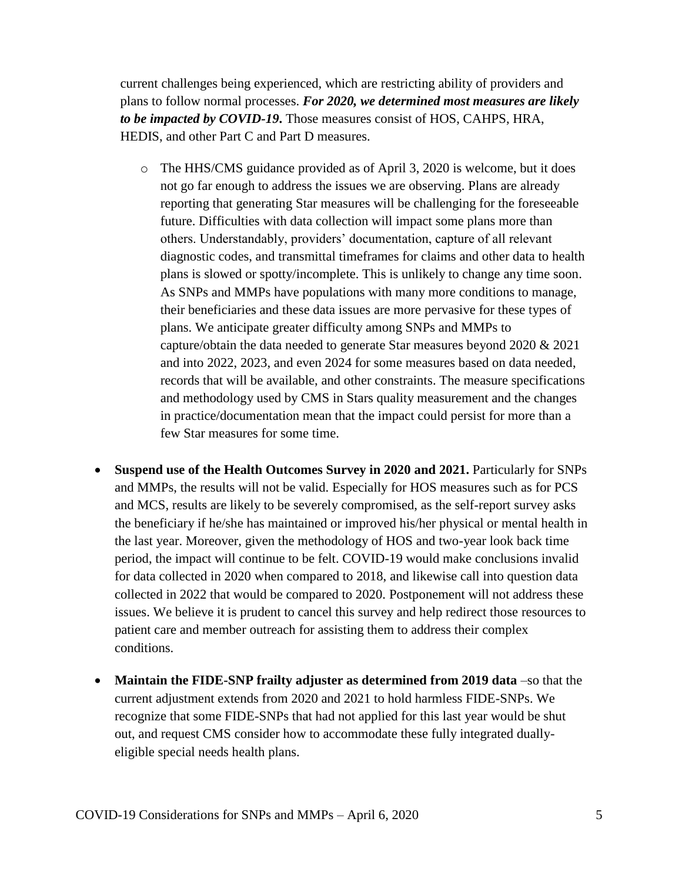current challenges being experienced, which are restricting ability of providers and plans to follow normal processes. *For 2020, we determined most measures are likely to be impacted by COVID-19***.** Those measures consist of HOS, CAHPS, HRA, HEDIS, and other Part C and Part D measures.

- o The HHS/CMS guidance provided as of April 3, 2020 is welcome, but it does not go far enough to address the issues we are observing. Plans are already reporting that generating Star measures will be challenging for the foreseeable future. Difficulties with data collection will impact some plans more than others. Understandably, providers' documentation, capture of all relevant diagnostic codes, and transmittal timeframes for claims and other data to health plans is slowed or spotty/incomplete. This is unlikely to change any time soon. As SNPs and MMPs have populations with many more conditions to manage, their beneficiaries and these data issues are more pervasive for these types of plans. We anticipate greater difficulty among SNPs and MMPs to capture/obtain the data needed to generate Star measures beyond 2020 & 2021 and into 2022, 2023, and even 2024 for some measures based on data needed, records that will be available, and other constraints. The measure specifications and methodology used by CMS in Stars quality measurement and the changes in practice/documentation mean that the impact could persist for more than a few Star measures for some time.
- **Suspend use of the Health Outcomes Survey in 2020 and 2021.** Particularly for SNPs and MMPs, the results will not be valid. Especially for HOS measures such as for PCS and MCS, results are likely to be severely compromised, as the self-report survey asks the beneficiary if he/she has maintained or improved his/her physical or mental health in the last year. Moreover, given the methodology of HOS and two-year look back time period, the impact will continue to be felt. COVID-19 would make conclusions invalid for data collected in 2020 when compared to 2018, and likewise call into question data collected in 2022 that would be compared to 2020. Postponement will not address these issues. We believe it is prudent to cancel this survey and help redirect those resources to patient care and member outreach for assisting them to address their complex conditions.
- **Maintain the FIDE-SNP frailty adjuster as determined from 2019 data** –so that the current adjustment extends from 2020 and 2021 to hold harmless FIDE-SNPs. We recognize that some FIDE-SNPs that had not applied for this last year would be shut out, and request CMS consider how to accommodate these fully integrated duallyeligible special needs health plans.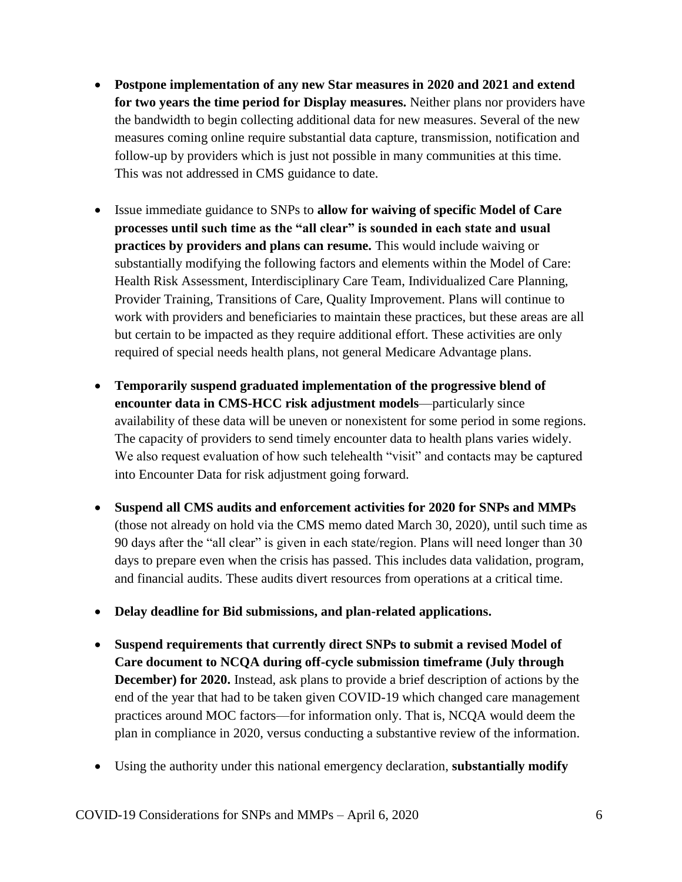- **Postpone implementation of any new Star measures in 2020 and 2021 and extend for two years the time period for Display measures.** Neither plans nor providers have the bandwidth to begin collecting additional data for new measures. Several of the new measures coming online require substantial data capture, transmission, notification and follow-up by providers which is just not possible in many communities at this time. This was not addressed in CMS guidance to date.
- Issue immediate guidance to SNPs to **allow for waiving of specific Model of Care processes until such time as the "all clear" is sounded in each state and usual practices by providers and plans can resume.** This would include waiving or substantially modifying the following factors and elements within the Model of Care: Health Risk Assessment, Interdisciplinary Care Team, Individualized Care Planning, Provider Training, Transitions of Care, Quality Improvement. Plans will continue to work with providers and beneficiaries to maintain these practices, but these areas are all but certain to be impacted as they require additional effort. These activities are only required of special needs health plans, not general Medicare Advantage plans.
- **Temporarily suspend graduated implementation of the progressive blend of encounter data in CMS-HCC risk adjustment models**—particularly since availability of these data will be uneven or nonexistent for some period in some regions. The capacity of providers to send timely encounter data to health plans varies widely. We also request evaluation of how such telehealth "visit" and contacts may be captured into Encounter Data for risk adjustment going forward.
- **Suspend all CMS audits and enforcement activities for 2020 for SNPs and MMPs** (those not already on hold via the CMS memo dated March 30, 2020), until such time as 90 days after the "all clear" is given in each state/region. Plans will need longer than 30 days to prepare even when the crisis has passed. This includes data validation, program, and financial audits. These audits divert resources from operations at a critical time.
- **Delay deadline for Bid submissions, and plan-related applications.**
- **Suspend requirements that currently direct SNPs to submit a revised Model of Care document to NCQA during off-cycle submission timeframe (July through December) for 2020.** Instead, ask plans to provide a brief description of actions by the end of the year that had to be taken given COVID-19 which changed care management practices around MOC factors—for information only. That is, NCQA would deem the plan in compliance in 2020, versus conducting a substantive review of the information.
- Using the authority under this national emergency declaration, **substantially modify**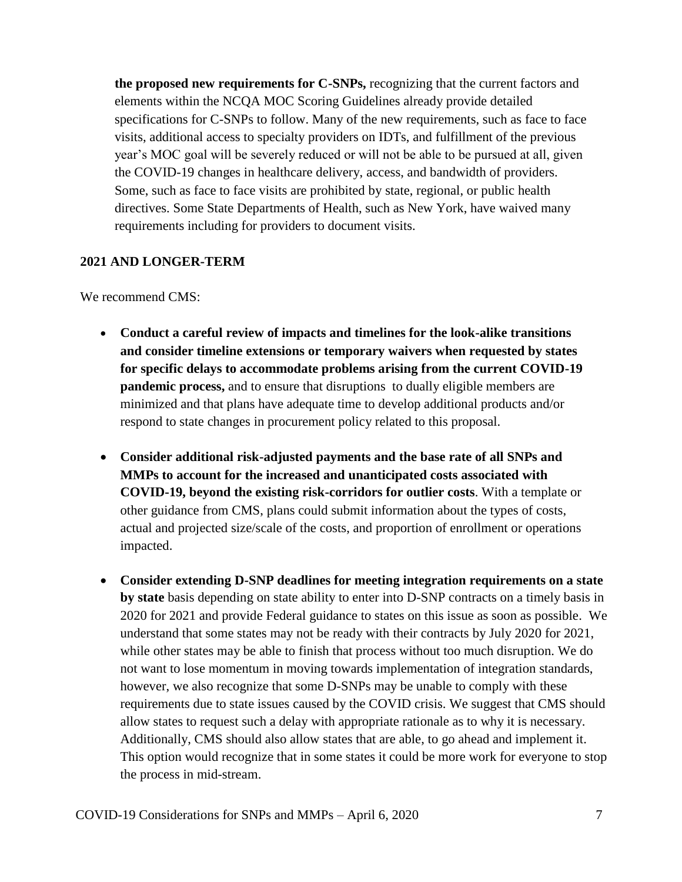**the proposed new requirements for C-SNPs,** recognizing that the current factors and elements within the NCQA MOC Scoring Guidelines already provide detailed specifications for C-SNPs to follow. Many of the new requirements, such as face to face visits, additional access to specialty providers on IDTs, and fulfillment of the previous year's MOC goal will be severely reduced or will not be able to be pursued at all, given the COVID-19 changes in healthcare delivery, access, and bandwidth of providers. Some, such as face to face visits are prohibited by state, regional, or public health directives. Some State Departments of Health, such as New York, have waived many requirements including for providers to document visits.

## **2021 AND LONGER-TERM**

We recommend CMS:

- **Conduct a careful review of impacts and timelines for the look-alike transitions and consider timeline extensions or temporary waivers when requested by states for specific delays to accommodate problems arising from the current COVID-19 pandemic process,** and to ensure that disruptions to dually eligible members are minimized and that plans have adequate time to develop additional products and/or respond to state changes in procurement policy related to this proposal.
- **Consider additional risk-adjusted payments and the base rate of all SNPs and MMPs to account for the increased and unanticipated costs associated with COVID-19, beyond the existing risk-corridors for outlier costs**. With a template or other guidance from CMS, plans could submit information about the types of costs, actual and projected size/scale of the costs, and proportion of enrollment or operations impacted.
- **Consider extending D-SNP deadlines for meeting integration requirements on a state by state** basis depending on state ability to enter into D-SNP contracts on a timely basis in 2020 for 2021 and provide Federal guidance to states on this issue as soon as possible. We understand that some states may not be ready with their contracts by July 2020 for 2021, while other states may be able to finish that process without too much disruption. We do not want to lose momentum in moving towards implementation of integration standards, however, we also recognize that some D-SNPs may be unable to comply with these requirements due to state issues caused by the COVID crisis. We suggest that CMS should allow states to request such a delay with appropriate rationale as to why it is necessary. Additionally, CMS should also allow states that are able, to go ahead and implement it. This option would recognize that in some states it could be more work for everyone to stop the process in mid-stream.